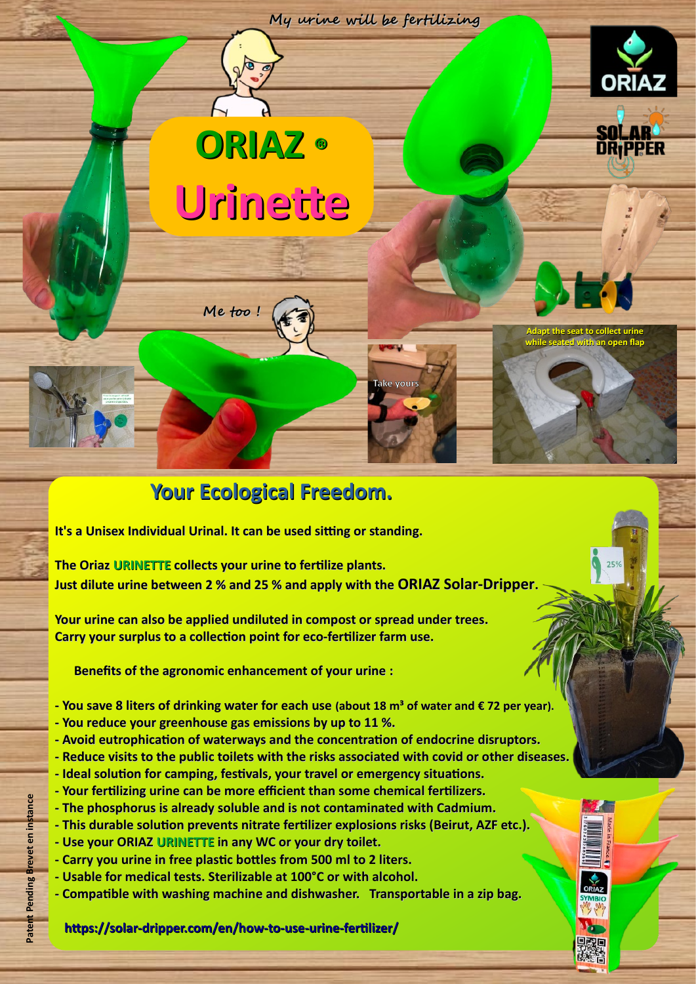

**Take yours**

**Me too !**

**ORIAZ ®**

 $\sqrt{2}$ 

**Urinette**

## **Your Ecological Freedom.**

 **It's a Unisex Individual Urinal. It can be used sitting or standing.** 

 **The Oriaz URINETTE collects your urine to fertilize plants. Just dilute urine between 2 % and 25 % and apply with the ORIAZ Solar-Dripper.**

 **Your urine can also be applied undiluted in compost or spread under trees. Carry your surplus to a collection point for eco-fertilizer farm use.**

 **Benefits of the agronomic enhancement of your urine :**

 **- You save 8 liters of drinking water for each use (about 18 m<sup>3</sup> of water and € 72 per year). - You reduce your greenhouse gas emissions by up to 11 %.**

 **- Avoid eutrophication of waterways and the concentration of endocrine disruptors. - Reduce visits to the public toilets with the risks associated with covid or other diseases. - Ideal solution for camping, festivals, your travel or emergency situations.**

- **Your fertilizing urine can be more efficient than some chemical fertilizers.**
- **The phosphorus is already soluble and is not contaminated with Cadmium.**
- **This durable solution prevents nitrate fertilizer explosions risks (Beirut, AZF etc.).**
- **Use your ORIAZ URINETTE in any WC or your dry toilet.**
- **Carry you urine in free plastic bottles from 500 ml to 2 liters.**
- **Usable for medical tests. Sterilizable at 100°C or with alcohol.**
- **Compatible with washing machine and dishwasher. Transportable in a zip bag.**

## **<https://solar-dripper.com/en/how-to-use-urine-fertilizer/>**

무료車

**Adapt the seat to collect urine while seated with an open flap**